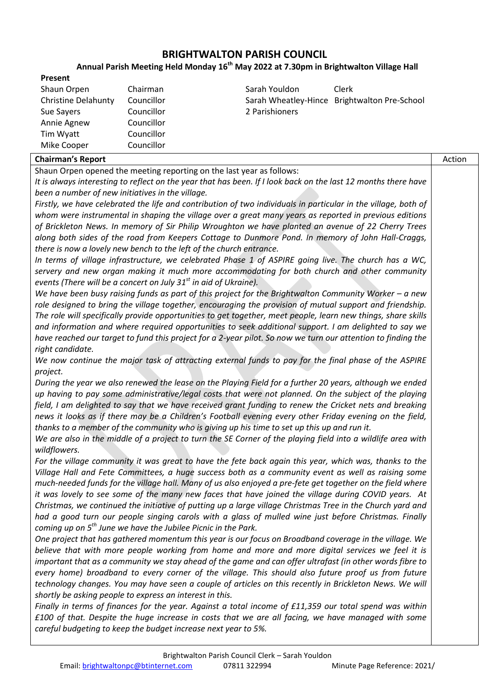## **BRIGHTWALTON PARISH COUNCIL**

## **Annual Parish Meeting Held Monday 16 th May 2022 at 7.30pm in Brightwalton Village Hall**

| Present                    |            |                |                                              |
|----------------------------|------------|----------------|----------------------------------------------|
| Shaun Orpen                | Chairman   | Sarah Youldon  | Clerk                                        |
| <b>Christine Delahunty</b> | Councillor |                | Sarah Wheatley-Hince Brightwalton Pre-School |
| Sue Sayers                 | Councillor | 2 Parishioners |                                              |
| Annie Agnew                | Councillor |                |                                              |
| Tim Wyatt                  | Councillor |                |                                              |
| Mike Cooper                | Councillor |                |                                              |

| <b>Chairman's Report</b>                                                                                       | Action |  |
|----------------------------------------------------------------------------------------------------------------|--------|--|
| Shaun Orpen opened the meeting reporting on the last year as follows:                                          |        |  |
| It is always interesting to reflect on the year that has been. If I look back on the last 12 months there have |        |  |
| been a number of new initiatives in the village.                                                               |        |  |
| Firstly, we have celebrated the life and contribution of two individuals in particular in the village, both of |        |  |
| whom were instrumental in shaping the village over a great many years as reported in previous editions         |        |  |
| of Brickleton News. In memory of Sir Philip Wroughton we have planted an avenue of 22 Cherry Trees             |        |  |
| along both sides of the road from Keepers Cottage to Dunmore Pond. In memory of John Hall-Craggs,              |        |  |
| there is now a lovely new bench to the left of the church entrance.                                            |        |  |
| In terms of village infrastructure, we celebrated Phase 1 of ASPIRE going live. The church has a WC,           |        |  |
| servery and new organ making it much more accommodating for both church and other community                    |        |  |
| events (There will be a concert on July 31 <sup>st</sup> in aid of Ukraine).                                   |        |  |
| We have been busy raising funds as part of this project for the Brightwalton Community Worker - a new          |        |  |
| role designed to bring the village together, encouraging the provision of mutual support and friendship.       |        |  |
| The role will specifically provide opportunities to get together, meet people, learn new things, share skills  |        |  |
| and information and where required opportunities to seek additional support. I am delighted to say we          |        |  |
| have reached our target to fund this project for a 2-year pilot. So now we turn our attention to finding the   |        |  |
| right candidate.                                                                                               |        |  |
| We now continue the major task of attracting external funds to pay for the final phase of the ASPIRE           |        |  |
| project.                                                                                                       |        |  |
| During the year we also renewed the lease on the Playing Field for a further 20 years, although we ended       |        |  |
| up having to pay some administrative/legal costs that were not planned. On the subject of the playing          |        |  |
| field, I am delighted to say that we have received grant funding to renew the Cricket nets and breaking        |        |  |
| news it looks as if there may be a Children's Football evening every other Friday evening on the field,        |        |  |
| thanks to a member of the community who is giving up his time to set up this up and run it.                    |        |  |
| We are also in the middle of a project to turn the SE Corner of the playing field into a wildlife area with    |        |  |
| wildflowers.                                                                                                   |        |  |
| For the village community it was great to have the fete back again this year, which was, thanks to the         |        |  |
| Village Hall and Fete Committees, a huge success both as a community event as well as raising some             |        |  |
| much-needed funds for the village hall. Many of us also enjoyed a pre-fete get together on the field where     |        |  |
| it was lovely to see some of the many new faces that have joined the village during COVID years. At            |        |  |
| Christmas, we continued the initiative of putting up a large village Christmas Tree in the Church yard and     |        |  |
| had a good turn our people singing carols with a glass of mulled wine just before Christmas. Finally           |        |  |
| coming up on $5th$ June we have the Jubilee Picnic in the Park.                                                |        |  |
| One project that has gathered momentum this year is our focus on Broadband coverage in the village. We         |        |  |
| believe that with more people working from home and more and more digital services we feel it is               |        |  |
| important that as a community we stay ahead of the game and can offer ultrafast (in other words fibre to       |        |  |
| every home) broadband to every corner of the village. This should also future proof us from future             |        |  |
| technology changes. You may have seen a couple of articles on this recently in Brickleton News. We will        |        |  |

*shortly be asking people to express an interest in this. Finally in terms of finances for the year. Against a total income of £11,359 our total spend was within* 

*£100 of that. Despite the huge increase in costs that we are all facing, we have managed with some careful budgeting to keep the budget increase next year to 5%.*